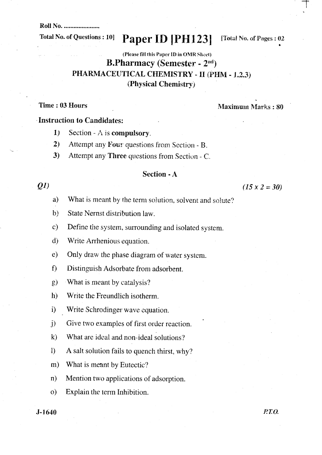**Roll No. .....................** 

## **Total No. of Questions: 10]**

Paper ID [PH123]

[Total No. of Pages: 02

# (Please fill this Paper ID in OMR Sheet) **B.Pharmacy (Semester - 2nd)** PHARMACEUTICAL CHEMISTRY - II (PHM - 1.2.3) (Physical Chemistry)

# Time: 03 Hours

#### **Maximum Marks: 80**

## **Instruction to Candidates:**

- Section A is compulsory.  $1)$
- $2)$ Attempt any Four questions from Section - B.
- Attempt any Three questions from Section C.  $3)$

## **Section - A**

# $Q1$

### $(15 \times 2 = 30)$

- What is meant by the term solution, solvent and solute? a)
- $b)$ State Nernst distribution law.
- Define the system, surrounding and isolated system.  $\mathbf{c}$
- $\mathbf{d}$ Write Arrhenious equation.
- $\epsilon$ ) Only draw the phase diagram of water system.
- $f$ Distinguish Adsorbate from adsorbent.
- $\mathfrak{g}$ ) What is meant by catalysis?
- $h)$ Write the Freundlich isotherm.
- i) Write Schrodinger wave equation.
- $\ddot{D}$ Give two examples of first order reaction.
- $\mathbf{k}$ What are ideal and non-ideal solutions?
- A salt solution fails to quench thirst, why?  $\mathbf{D}$
- What is meant by Eutectic?  $m)$
- $n)$ Mention two applications of adsorption.
- Explain the term Inhibition.  $\Omega$